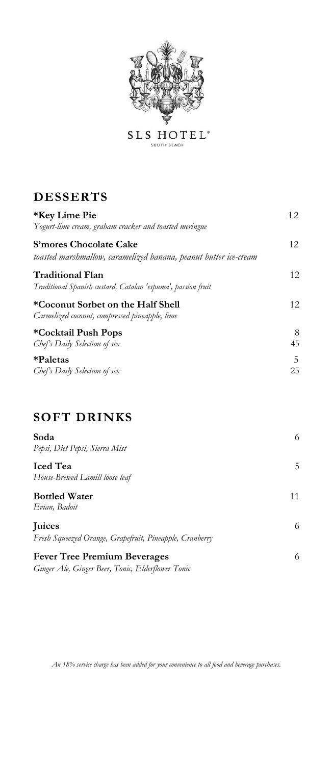

 $S\,L\,S\underset{\text{SOLUTION BEACH}}{\text{HOT E}}\,L^*$ 

## **DESSERTS**

| *Key Lime Pie<br>Yogurt-lime cream, graham cracker and toasted meringue                    | 12      |
|--------------------------------------------------------------------------------------------|---------|
| S'mores Chocolate Cake<br>toasted marshmallow, caramelized banana, peanut butter ice-cream | 12.     |
| <b>Traditional Flan</b><br>Traditional Spanish custard, Catalan 'espuma', passion fruit    | 12      |
| *Coconut Sorbet on the Half Shell<br>Carmelized coconut, compressed pineapple, lime        | 12.     |
| *Cocktail Push Pops<br>Chef's Daily Selection of six                                       | 8<br>45 |
| *Paletas<br>Chef's Daily Selection of six                                                  | 5<br>25 |

## **SOFT DRINKS**

| Soda<br>Pepsi, Diet Pepsi, Sierra Mist                                                   | 6  |
|------------------------------------------------------------------------------------------|----|
| <b>Iced</b> Tea<br>House-Brewed Lamill loose leaf                                        | 5. |
| <b>Bottled Water</b><br>Evian, Badoit                                                    | 11 |
| Juices<br>Fresh Squeezed Orange, Grapefruit, Pineapple, Cranberry                        | 6. |
| <b>Fever Tree Premium Beverages</b><br>Ginger Ale, Ginger Beer, Tonic, Elderflower Tonic | 6. |

*An 18% service charge has been added for your convenience to all food and beverage purchases.*